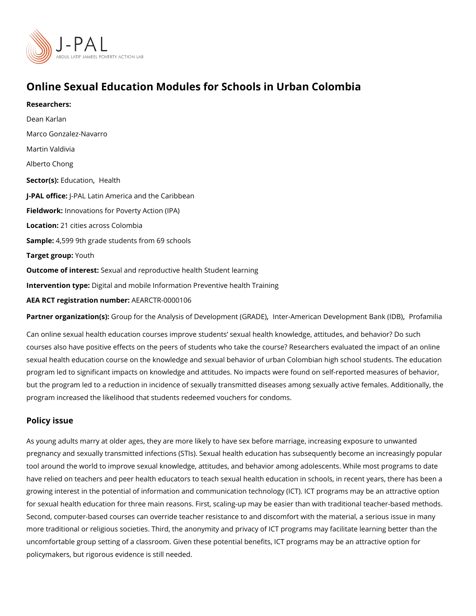# Online Sexual Education Modules for Schools in Urban Colombia

Researchers: [Dean Ka](https://www.povertyactionlab.org/person/karlan)rlan [Marco Gonzalez-](https://www.povertyactionlab.org/person/gonzalez-navarro)Navarro Martin Valdivia Alberto Chong Sector(EsolucatioHnealth J-PAL of flicPeAL Latin America and the Caribbean Fieldworkhovations for Poverty Action (IPA) Locatio<sub>n:</sub> cities across Colombia Sample: 599 9th grade students from 69 schools Target gro**uputh** Outcome of inteSest: al and reproductive health Student learning Intervention toppgeital and mobile Information Preventive health Training AEA RCT registration ArEuAnRbCeTR-0000106

Partner organizatGoroo (usp): for the Analysis of Develo|pmntneem-tA (mGeRiAcDaEi) Development PhBoafnakm (IliDaB)

Can online sexual health education courses improve students sexual health knowledge, a courses also have positive effects on the peers of students who take the course? Researc sexual health education course on the knowledge and sexual behavior of urban Colombian program led to significant impacts on knowledge and attitudes. No impacts were found on but the program led to a reduction in incidence of sexually transmitted diseases among se program increased the likelihood that students redeemed vouchers for condoms.

#### Policy issue

As young adults marry at older ages, they are more likely to have sex before marriage, in pregnancy and sexually transmitted infections (STIs). Sexual health education has subsed tool around the world to improve sexual knowledge, attitudes, and behavior among adoles have relied on teachers and peer health educators to teach sexual health education in scl growing interest in the potential of information and communication technology (ICT). ICT for sexual health education for three main reasons. First, scaling-up may be easier than w Second, computer-based courses can override teacher resistance to and discomfort with t more traditional or religious societies. Third, the anonymity and privacy of ICT programs uncomfortable group setting of a classroom. Given these potential benefits, ICT programs policymakers, but rigorous evidence is still needed.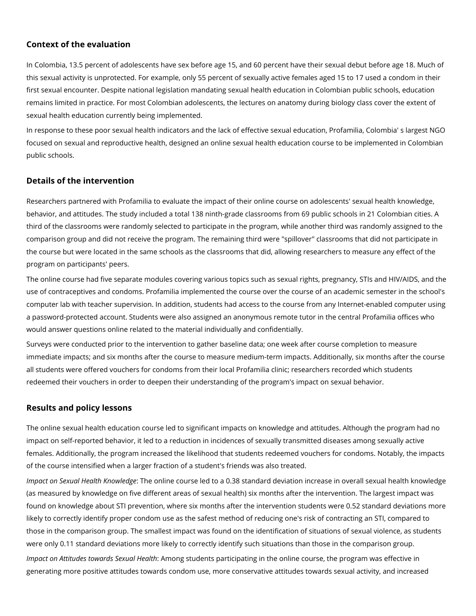## **Context of the evaluation**

In Colombia, 13.5 percent of adolescents have sex before age 15, and 60 percent have their sexual debut before age 18. Much of this sexual activity is unprotected. For example, only 55 percent of sexually active females aged 15 to 17 used a condom in their first sexual encounter. Despite national legislation mandating sexual health education in Colombian public schools, education remains limited in practice. For most Colombian adolescents, the lectures on anatomy during biology class cover the extent of sexual health education currently being implemented.

In response to these poor sexual health indicators and the lack of effective sexual education, Profamilia, Colombia' s largest NGO focused on sexual and reproductive health, designed an online sexual health education course to be implemented in Colombian public schools.

### **Details of the intervention**

Researchers partnered with Profamilia to evaluate the impact of their online course on adolescents' sexual health knowledge, behavior, and attitudes. The study included a total 138 ninth-grade classrooms from 69 public schools in 21 Colombian cities. A third of the classrooms were randomly selected to participate in the program, while another third was randomly assigned to the comparison group and did not receive the program. The remaining third were "spillover" classrooms that did not participate in the course but were located in the same schools as the classrooms that did, allowing researchers to measure any effect of the program on participants' peers.

The online course had five separate modules covering various topics such as sexual rights, pregnancy, STIs and HIV/AIDS, and the use of contraceptives and condoms. Profamilia implemented the course over the course of an academic semester in the school's computer lab with teacher supervision. In addition, students had access to the course from any Internet-enabled computer using a password-protected account. Students were also assigned an anonymous remote tutor in the central Profamilia offices who would answer questions online related to the material individually and confidentially.

Surveys were conducted prior to the intervention to gather baseline data; one week after course completion to measure immediate impacts; and six months after the course to measure medium-term impacts. Additionally, six months after the course all students were offered vouchers for condoms from their local Profamilia clinic; researchers recorded which students redeemed their vouchers in order to deepen their understanding of the program's impact on sexual behavior.

#### **Results and policy lessons**

The online sexual health education course led to significant impacts on knowledge and attitudes. Although the program had no impact on self-reported behavior, it led to a reduction in incidences of sexually transmitted diseases among sexually active females. Additionally, the program increased the likelihood that students redeemed vouchers for condoms. Notably, the impacts of the course intensified when a larger fraction of a student's friends was also treated.

*Impact on Sexual Health Knowledge*: The online course led to a 0.38 standard deviation increase in overall sexual health knowledge (as measured by knowledge on five different areas of sexual health) six months after the intervention. The largest impact was found on knowledge about STI prevention, where six months after the intervention students were 0.52 standard deviations more likely to correctly identify proper condom use as the safest method of reducing one's risk of contracting an STI, compared to those in the comparison group. The smallest impact was found on the identification of situations of sexual violence, as students were only 0.11 standard deviations more likely to correctly identify such situations than those in the comparison group.

*Impact on Attitudes towards Sexual Health*: Among students participating in the online course, the program was effective in generating more positive attitudes towards condom use, more conservative attitudes towards sexual activity, and increased